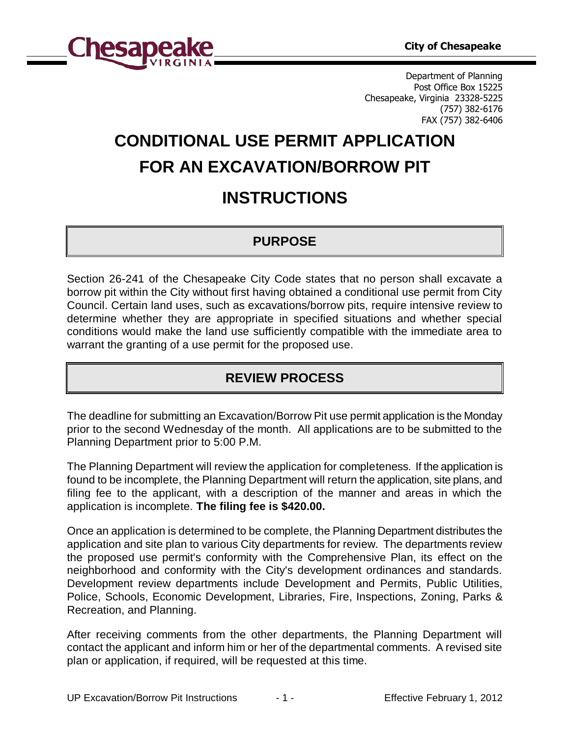

Department of Planning Post Office Box 15225 Chesapeake, Virginia 23328-5225 (757) 382-6176 FAX (757) 382-6406

# **CONDITIONAL USE PERMIT APPLICATION FOR AN EXCAVATION/BORROW PIT**

## **INSTRUCTIONS**

## **PURPOSE**

Section 26-241 of the Chesapeake City Code states that no person shall excavate a borrow pit within the City without first having obtained a conditional use permit from City Council. Certain land uses, such as excavations/borrow pits, require intensive review to determine whether they are appropriate in specified situations and whether special conditions would make the land use sufficiently compatible with the immediate area to warrant the granting of a use permit for the proposed use.

## **REVIEW PROCESS**

The deadline for submitting an Excavation/Borrow Pit use permit application is the Monday prior to the second Wednesday of the month. All applications are to be submitted to the Planning Department prior to 5:00 P.M.

The Planning Department will review the application for completeness. If the application is found to be incomplete, the Planning Department will return the application, site plans, and filing fee to the applicant, with a description of the manner and areas in which the application is incomplete. **The filing fee is \$420.00.**

Once an application is determined to be complete, the Planning Department distributes the application and site plan to various City departments for review. The departments review the proposed use permit's conformity with the Comprehensive Plan, its effect on the neighborhood and conformity with the City's development ordinances and standards. Development review departments include Development and Permits, Public Utilities, Police, Schools, Economic Development, Libraries, Fire, Inspections, Zoning, Parks & Recreation, and Planning.

After receiving comments from the other departments, the Planning Department will contact the applicant and inform him or her of the departmental comments. A revised site plan or application, if required, will be requested at this time.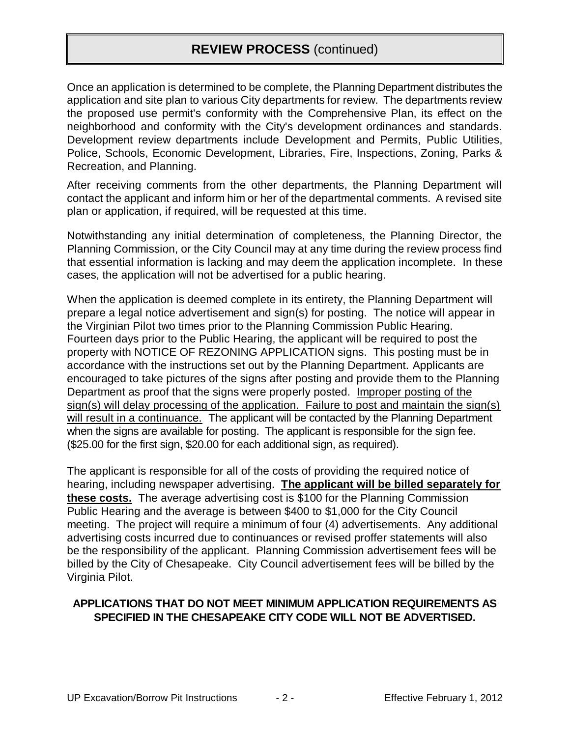## **REVIEW PROCESS** (continued)

Once an application is determined to be complete, the Planning Department distributes the application and site plan to various City departments for review. The departments review the proposed use permit's conformity with the Comprehensive Plan, its effect on the neighborhood and conformity with the City's development ordinances and standards. Development review departments include Development and Permits, Public Utilities, Police, Schools, Economic Development, Libraries, Fire, Inspections, Zoning, Parks & Recreation, and Planning.

After receiving comments from the other departments, the Planning Department will contact the applicant and inform him or her of the departmental comments. A revised site plan or application, if required, will be requested at this time.

Notwithstanding any initial determination of completeness, the Planning Director, the Planning Commission, or the City Council may at any time during the review process find that essential information is lacking and may deem the application incomplete. In these cases, the application will not be advertised for a public hearing.

When the application is deemed complete in its entirety, the Planning Department will prepare a legal notice advertisement and sign(s) for posting. The notice will appear in the Virginian Pilot two times prior to the Planning Commission Public Hearing. Fourteen days prior to the Public Hearing, the applicant will be required to post the property with NOTICE OF REZONING APPLICATION signs. This posting must be in accordance with the instructions set out by the Planning Department. Applicants are encouraged to take pictures of the signs after posting and provide them to the Planning Department as proof that the signs were properly posted. Improper posting of the sign(s) will delay processing of the application. Failure to post and maintain the sign(s) will result in a continuance. The applicant will be contacted by the Planning Department when the signs are available for posting. The applicant is responsible for the sign fee. (\$25.00 for the first sign, \$20.00 for each additional sign, as required).

The applicant is responsible for all of the costs of providing the required notice of hearing, including newspaper advertising. **The applicant will be billed separately for these costs.** The average advertising cost is \$100 for the Planning Commission Public Hearing and the average is between \$400 to \$1,000 for the City Council meeting. The project will require a minimum of four (4) advertisements. Any additional advertising costs incurred due to continuances or revised proffer statements will also be the responsibility of the applicant. Planning Commission advertisement fees will be billed by the City of Chesapeake. City Council advertisement fees will be billed by the Virginia Pilot.

#### **APPLICATIONS THAT DO NOT MEET MINIMUM APPLICATION REQUIREMENTS AS SPECIFIED IN THE CHESAPEAKE CITY CODE WILL NOT BE ADVERTISED.**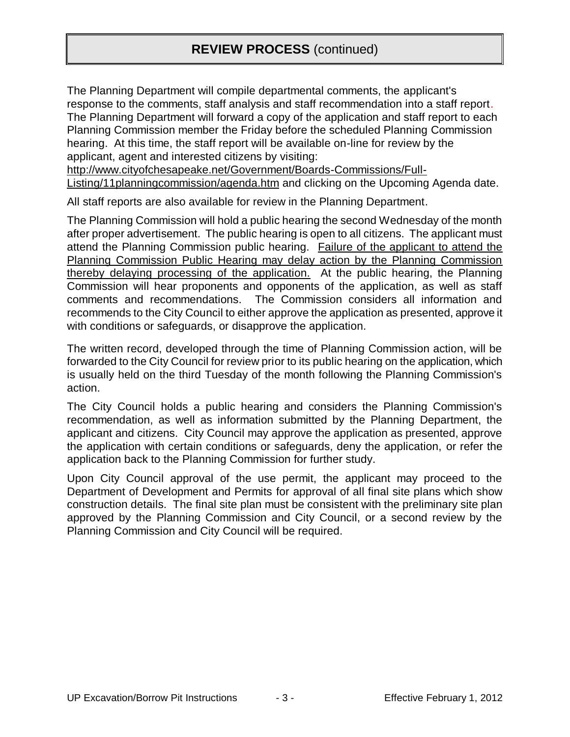## **REVIEW PROCESS** (continued)

The Planning Department will compile departmental comments, the applicant's response to the comments, staff analysis and staff recommendation into a staff report. The Planning Department will forward a copy of the application and staff report to each Planning Commission member the Friday before the scheduled Planning Commission hearing. At this time, the staff report will be available on-line for review by the applicant, agent and interested citizens by visiting:

http://www.cityofchesapeake.net/Government/Boards-Commissions/Full-Listing/11planningcommission/agenda.htm and clicking on the Upcoming Agenda date.

All staff reports are also available for review in the Planning Department.

The Planning Commission will hold a public hearing the second Wednesday of the month after proper advertisement. The public hearing is open to all citizens. The applicant must attend the Planning Commission public hearing. Failure of the applicant to attend the Planning Commission Public Hearing may delay action by the Planning Commission thereby delaying processing of the application. At the public hearing, the Planning Commission will hear proponents and opponents of the application, as well as staff comments and recommendations. The Commission considers all information and recommends to the City Council to either approve the application as presented, approve it with conditions or safeguards, or disapprove the application.

The written record, developed through the time of Planning Commission action, will be forwarded to the City Council for review prior to its public hearing on the application, which is usually held on the third Tuesday of the month following the Planning Commission's action.

The City Council holds a public hearing and considers the Planning Commission's recommendation, as well as information submitted by the Planning Department, the applicant and citizens. City Council may approve the application as presented, approve the application with certain conditions or safeguards, deny the application, or refer the application back to the Planning Commission for further study.

Upon City Council approval of the use permit, the applicant may proceed to the Department of Development and Permits for approval of all final site plans which show construction details. The final site plan must be consistent with the preliminary site plan approved by the Planning Commission and City Council, or a second review by the Planning Commission and City Council will be required.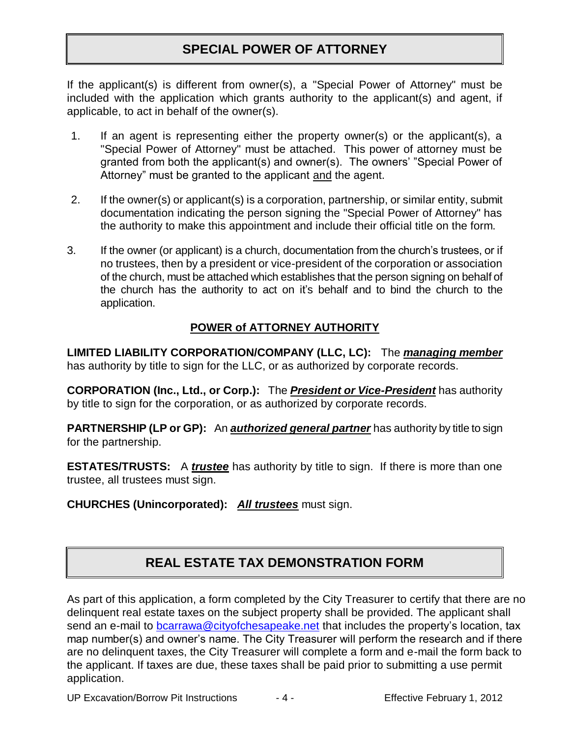## **SPECIAL POWER OF ATTORNEY**

If the applicant(s) is different from owner(s), a "Special Power of Attorney" must be included with the application which grants authority to the applicant(s) and agent, if applicable, to act in behalf of the owner(s).

- 1. If an agent is representing either the property owner(s) or the applicant(s), a "Special Power of Attorney" must be attached. This power of attorney must be granted from both the applicant(s) and owner(s). The owners' "Special Power of Attorney" must be granted to the applicant and the agent.
- 2. If the owner(s) or applicant(s) is a corporation, partnership, or similar entity, submit documentation indicating the person signing the "Special Power of Attorney" has the authority to make this appointment and include their official title on the form.
- 3. If the owner (or applicant) is a church, documentation from the church's trustees, or if no trustees, then by a president or vice-president of the corporation or association of the church, must be attached which establishes that the person signing on behalf of the church has the authority to act on it's behalf and to bind the church to the application.

#### **POWER of ATTORNEY AUTHORITY**

**LIMITED LIABILITY CORPORATION/COMPANY (LLC, LC):** The *managing member* has authority by title to sign for the LLC, or as authorized by corporate records.

**CORPORATION (Inc., Ltd., or Corp.):** The *President or Vice-President* has authority by title to sign for the corporation, or as authorized by corporate records.

**PARTNERSHIP (LP or GP):** An *authorized general partner* has authority by title to sign for the partnership.

**ESTATES/TRUSTS:** A *trustee* has authority by title to sign. If there is more than one trustee, all trustees must sign.

#### **CHURCHES (Unincorporated):** *All trustees* must sign.

## **REAL ESTATE TAX DEMONSTRATION FORM**

As part of this application, a form completed by the City Treasurer to certify that there are no delinquent real estate taxes on the subject property shall be provided. The applicant shall send an e-mail to [bcarrawa@cityofchesapeake.net](mailto:bcarrawa@cityofchesapeake.net) that includes the property's location, tax map number(s) and owner's name. The City Treasurer will perform the research and if there are no delinquent taxes, the City Treasurer will complete a form and e-mail the form back to the applicant. If taxes are due, these taxes shall be paid prior to submitting a use permit application.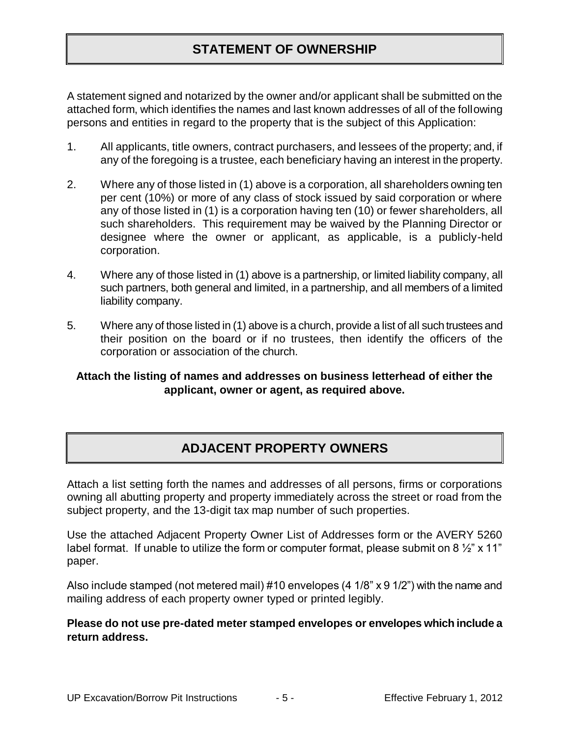## **STATEMENT OF OWNERSHIP**

A statement signed and notarized by the owner and/or applicant shall be submitted on the attached form, which identifies the names and last known addresses of all of the following persons and entities in regard to the property that is the subject of this Application:

- 1. All applicants, title owners, contract purchasers, and lessees of the property; and, if any of the foregoing is a trustee, each beneficiary having an interest in the property.
- 2. Where any of those listed in (1) above is a corporation, all shareholders owning ten per cent (10%) or more of any class of stock issued by said corporation or where any of those listed in (1) is a corporation having ten (10) or fewer shareholders, all such shareholders. This requirement may be waived by the Planning Director or designee where the owner or applicant, as applicable, is a publicly-held corporation.
- 4. Where any of those listed in (1) above is a partnership, or limited liability company, all such partners, both general and limited, in a partnership, and all members of a limited liability company.
- 5. Where any of those listed in (1) above is a church, provide a list of all such trustees and their position on the board or if no trustees, then identify the officers of the corporation or association of the church.

#### **Attach the listing of names and addresses on business letterhead of either the applicant, owner or agent, as required above.**

## **ADJACENT PROPERTY OWNERS**

Attach a list setting forth the names and addresses of all persons, firms or corporations owning all abutting property and property immediately across the street or road from the subject property, and the 13-digit tax map number of such properties.

Use the attached Adjacent Property Owner List of Addresses form or the AVERY 5260 label format. If unable to utilize the form or computer format, please submit on 8  $\frac{1}{2}$ " x 11" paper.

Also include stamped (not metered mail) #10 envelopes (4 1/8" x 9 1/2") with the name and mailing address of each property owner typed or printed legibly.

#### **Please do not use pre-dated meter stamped envelopes or envelopes which include a return address.**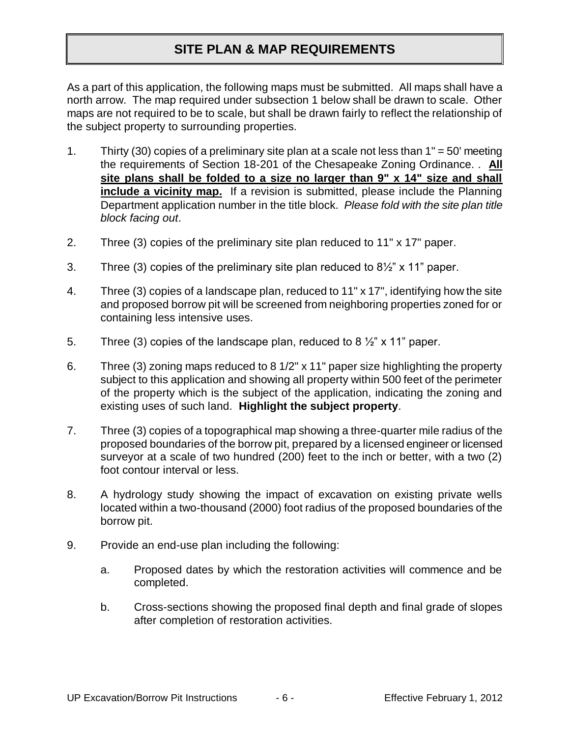## **SITE PLAN & MAP REQUIREMENTS**

As a part of this application, the following maps must be submitted. All maps shall have a north arrow. The map required under subsection 1 below shall be drawn to scale. Other maps are not required to be to scale, but shall be drawn fairly to reflect the relationship of the subject property to surrounding properties.

- 1. Thirty (30) copies of a preliminary site plan at a scale not less than 1" = 50' meeting the requirements of Section 18-201 of the Chesapeake Zoning Ordinance. . **All site plans shall be folded to a size no larger than 9" x 14" size and shall include a vicinity map.** If a revision is submitted, please include the Planning Department application number in the title block. *Please fold with the site plan title block facing out*.
- 2. Three (3) copies of the preliminary site plan reduced to 11" x 17" paper.
- 3. Three (3) copies of the preliminary site plan reduced to  $8\frac{1}{2}$ " x 11" paper.
- 4. Three (3) copies of a landscape plan, reduced to 11" x 17", identifying how the site and proposed borrow pit will be screened from neighboring properties zoned for or containing less intensive uses.
- 5. Three (3) copies of the landscape plan, reduced to 8  $\frac{1}{2}$ " x 11" paper.
- 6. Three (3) zoning maps reduced to 8 1/2" x 11" paper size highlighting the property subject to this application and showing all property within 500 feet of the perimeter of the property which is the subject of the application, indicating the zoning and existing uses of such land. **Highlight the subject property**.
- 7. Three (3) copies of a topographical map showing a three-quarter mile radius of the proposed boundaries of the borrow pit, prepared by a licensed engineer or licensed surveyor at a scale of two hundred (200) feet to the inch or better, with a two (2) foot contour interval or less.
- 8. A hydrology study showing the impact of excavation on existing private wells located within a two-thousand (2000) foot radius of the proposed boundaries of the borrow pit.
- 9. Provide an end-use plan including the following:
	- a. Proposed dates by which the restoration activities will commence and be completed.
	- b. Cross-sections showing the proposed final depth and final grade of slopes after completion of restoration activities.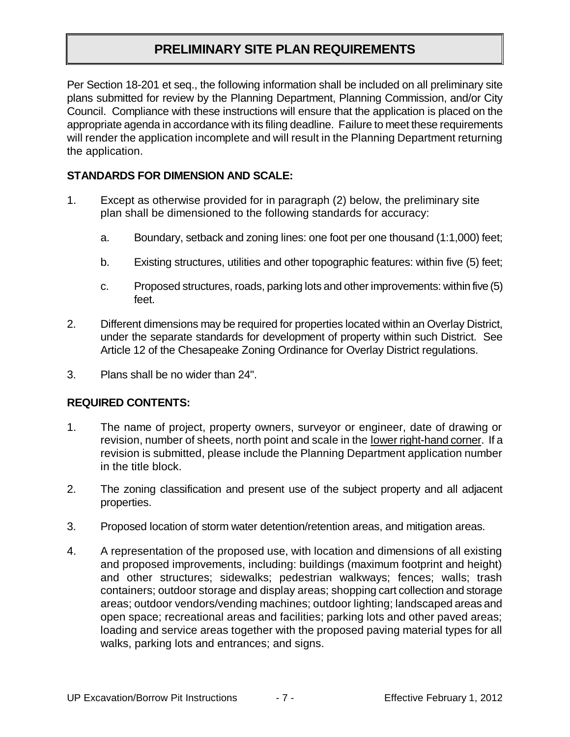## **PRELIMINARY SITE PLAN REQUIREMENTS**

Per Section 18-201 et seq., the following information shall be included on all preliminary site plans submitted for review by the Planning Department, Planning Commission, and/or City Council. Compliance with these instructions will ensure that the application is placed on the appropriate agenda in accordance with its filing deadline. Failure to meet these requirements will render the application incomplete and will result in the Planning Department returning the application.

#### **STANDARDS FOR DIMENSION AND SCALE:**

- 1. Except as otherwise provided for in paragraph (2) below, the preliminary site plan shall be dimensioned to the following standards for accuracy:
	- a. Boundary, setback and zoning lines: one foot per one thousand (1:1,000) feet;
	- b. Existing structures, utilities and other topographic features: within five (5) feet;
	- c. Proposed structures, roads, parking lots and other improvements: within five (5) feet.
- 2. Different dimensions may be required for properties located within an Overlay District, under the separate standards for development of property within such District. See Article 12 of the Chesapeake Zoning Ordinance for Overlay District regulations.
- 3. Plans shall be no wider than 24".

#### **REQUIRED CONTENTS:**

- 1. The name of project, property owners, surveyor or engineer, date of drawing or revision, number of sheets, north point and scale in the lower right-hand corner. If a revision is submitted, please include the Planning Department application number in the title block.
- 2. The zoning classification and present use of the subject property and all adjacent properties.
- 3. Proposed location of storm water detention/retention areas, and mitigation areas.
- 4. A representation of the proposed use, with location and dimensions of all existing and proposed improvements, including: buildings (maximum footprint and height) and other structures; sidewalks; pedestrian walkways; fences; walls; trash containers; outdoor storage and display areas; shopping cart collection and storage areas; outdoor vendors/vending machines; outdoor lighting; landscaped areas and open space; recreational areas and facilities; parking lots and other paved areas; loading and service areas together with the proposed paving material types for all walks, parking lots and entrances; and signs.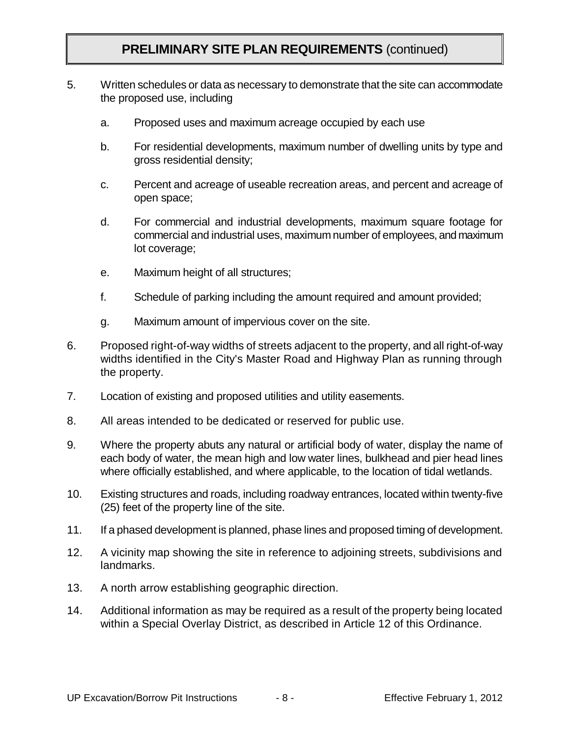## **PRELIMINARY SITE PLAN REQUIREMENTS** (continued)

- 5. Written schedules or data as necessary to demonstrate that the site can accommodate the proposed use, including
	- a. Proposed uses and maximum acreage occupied by each use
	- b. For residential developments, maximum number of dwelling units by type and gross residential density;
	- c. Percent and acreage of useable recreation areas, and percent and acreage of open space;
	- d. For commercial and industrial developments, maximum square footage for commercial and industrial uses, maximum number of employees, and maximum lot coverage;
	- e. Maximum height of all structures;
	- f. Schedule of parking including the amount required and amount provided;
	- g. Maximum amount of impervious cover on the site.
- 6. Proposed right-of-way widths of streets adjacent to the property, and all right-of-way widths identified in the City's Master Road and Highway Plan as running through the property.
- 7. Location of existing and proposed utilities and utility easements.
- 8. All areas intended to be dedicated or reserved for public use.
- 9. Where the property abuts any natural or artificial body of water, display the name of each body of water, the mean high and low water lines, bulkhead and pier head lines where officially established, and where applicable, to the location of tidal wetlands.
- 10. Existing structures and roads, including roadway entrances, located within twenty-five (25) feet of the property line of the site.
- 11. If a phased development is planned, phase lines and proposed timing of development.
- 12. A vicinity map showing the site in reference to adjoining streets, subdivisions and **landmarks**
- 13. A north arrow establishing geographic direction.
- 14. Additional information as may be required as a result of the property being located within a Special Overlay District, as described in Article 12 of this Ordinance.